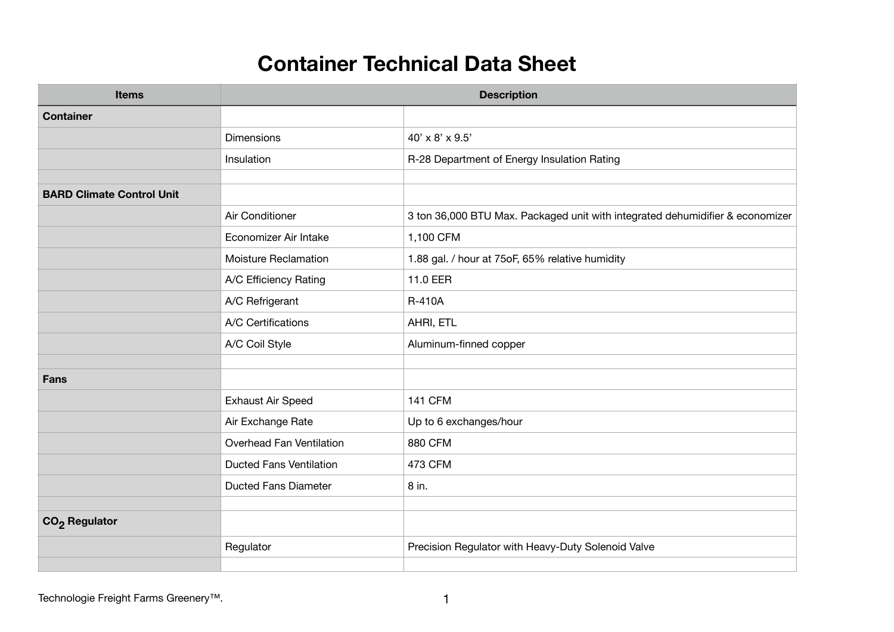## **Container Technical Data Sheet**

| <b>Items</b>                     | <b>Description</b>             |                                                                               |
|----------------------------------|--------------------------------|-------------------------------------------------------------------------------|
| <b>Container</b>                 |                                |                                                                               |
|                                  | <b>Dimensions</b>              | $40' \times 8' \times 9.5'$                                                   |
|                                  | Insulation                     | R-28 Department of Energy Insulation Rating                                   |
|                                  |                                |                                                                               |
| <b>BARD Climate Control Unit</b> |                                |                                                                               |
|                                  | Air Conditioner                | 3 ton 36,000 BTU Max. Packaged unit with integrated dehumidifier & economizer |
|                                  | Economizer Air Intake          | 1,100 CFM                                                                     |
|                                  | <b>Moisture Reclamation</b>    | 1.88 gal. / hour at 75oF, 65% relative humidity                               |
|                                  | A/C Efficiency Rating          | 11.0 EER                                                                      |
|                                  | A/C Refrigerant                | R-410A                                                                        |
|                                  | A/C Certifications             | AHRI, ETL                                                                     |
|                                  | A/C Coil Style                 | Aluminum-finned copper                                                        |
|                                  |                                |                                                                               |
| <b>Fans</b>                      |                                |                                                                               |
|                                  | <b>Exhaust Air Speed</b>       | <b>141 CFM</b>                                                                |
|                                  | Air Exchange Rate              | Up to 6 exchanges/hour                                                        |
|                                  | Overhead Fan Ventilation       | 880 CFM                                                                       |
|                                  | <b>Ducted Fans Ventilation</b> | 473 CFM                                                                       |
|                                  | <b>Ducted Fans Diameter</b>    | 8 in.                                                                         |
|                                  |                                |                                                                               |
| CO <sub>2</sub> Regulator        |                                |                                                                               |
|                                  | Regulator                      | Precision Regulator with Heavy-Duty Solenoid Valve                            |
|                                  |                                |                                                                               |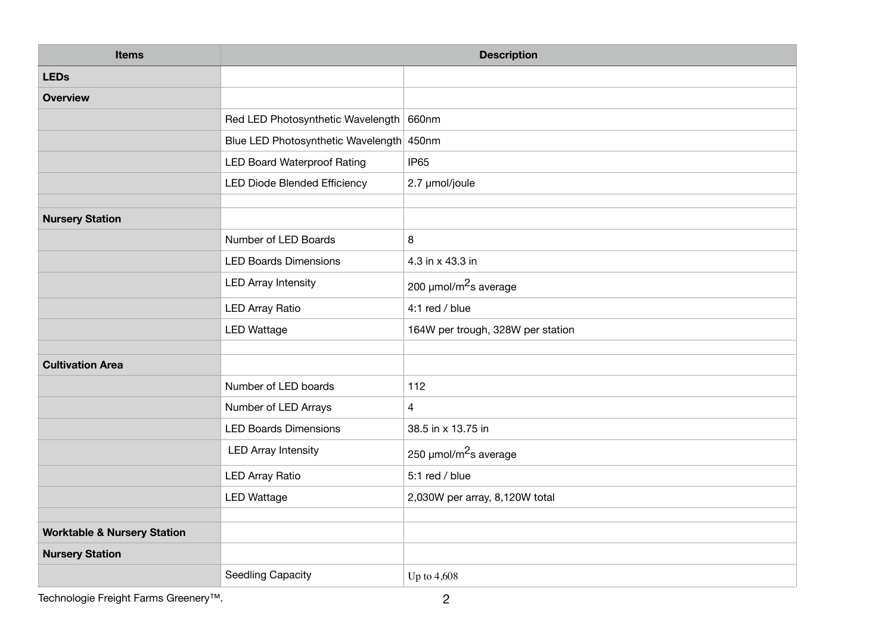| <b>Items</b>                           | <b>Description</b>                       |                                   |
|----------------------------------------|------------------------------------------|-----------------------------------|
| <b>LEDs</b>                            |                                          |                                   |
| <b>Overview</b>                        |                                          |                                   |
|                                        | Red LED Photosynthetic Wavelength 660nm  |                                   |
|                                        | Blue LED Photosynthetic Wavelength 450nm |                                   |
|                                        | <b>LED Board Waterproof Rating</b>       | IP <sub>65</sub>                  |
|                                        | LED Diode Blended Efficiency             | 2.7 µmol/joule                    |
|                                        |                                          |                                   |
| <b>Nursery Station</b>                 |                                          |                                   |
|                                        | Number of LED Boards                     | 8                                 |
|                                        | <b>LED Boards Dimensions</b>             | 4.3 in x 43.3 in                  |
|                                        | <b>LED Array Intensity</b>               | 200 µmol/m <sup>2</sup> s average |
|                                        | <b>LED Array Ratio</b>                   | 4:1 red / blue                    |
|                                        | <b>LED Wattage</b>                       | 164W per trough, 328W per station |
|                                        |                                          |                                   |
| <b>Cultivation Area</b>                |                                          |                                   |
|                                        | Number of LED boards                     | 112                               |
|                                        | Number of LED Arrays                     | $\overline{\mathcal{L}}$          |
|                                        | <b>LED Boards Dimensions</b>             | 38.5 in x 13.75 in                |
|                                        | <b>LED Array Intensity</b>               | 250 µmol/m <sup>2</sup> s average |
|                                        | <b>LED Array Ratio</b>                   | 5:1 red / blue                    |
|                                        | <b>LED Wattage</b>                       | 2,030W per array, 8,120W total    |
|                                        |                                          |                                   |
| <b>Worktable &amp; Nursery Station</b> |                                          |                                   |
| <b>Nursery Station</b>                 |                                          |                                   |
|                                        | <b>Seedling Capacity</b>                 | Up to 4,608                       |

Technologie Freight Farms Greenery<sup>™</sup>. 2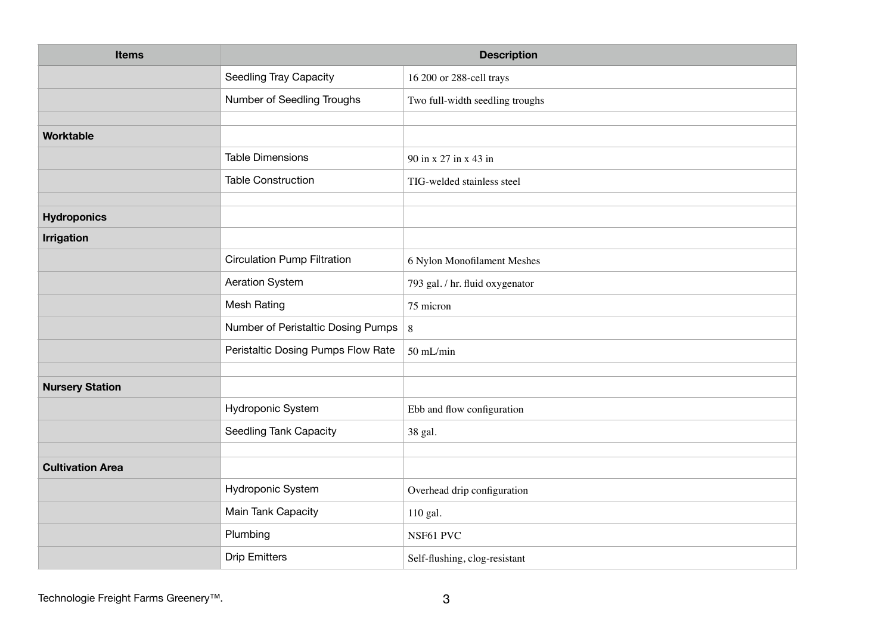| <b>Items</b>            | <b>Description</b>                 |                                 |
|-------------------------|------------------------------------|---------------------------------|
|                         | <b>Seedling Tray Capacity</b>      | 16 200 or 288-cell trays        |
|                         | Number of Seedling Troughs         | Two full-width seedling troughs |
|                         |                                    |                                 |
| <b>Worktable</b>        |                                    |                                 |
|                         | <b>Table Dimensions</b>            | 90 in x 27 in x 43 in           |
|                         | <b>Table Construction</b>          | TIG-welded stainless steel      |
| <b>Hydroponics</b>      |                                    |                                 |
| <b>Irrigation</b>       |                                    |                                 |
|                         | <b>Circulation Pump Filtration</b> | 6 Nylon Monofilament Meshes     |
|                         | Aeration System                    | 793 gal. / hr. fluid oxygenator |
|                         | <b>Mesh Rating</b>                 | 75 micron                       |
|                         | Number of Peristaltic Dosing Pumps | $8\,$                           |
|                         | Peristaltic Dosing Pumps Flow Rate | 50 mL/min                       |
|                         |                                    |                                 |
| <b>Nursery Station</b>  |                                    |                                 |
|                         | Hydroponic System                  | Ebb and flow configuration      |
|                         | Seedling Tank Capacity             | 38 gal.                         |
|                         |                                    |                                 |
| <b>Cultivation Area</b> |                                    |                                 |
|                         | Hydroponic System                  | Overhead drip configuration     |
|                         | Main Tank Capacity                 | 110 gal.                        |
|                         | Plumbing                           | NSF61 PVC                       |
|                         | <b>Drip Emitters</b>               | Self-flushing, clog-resistant   |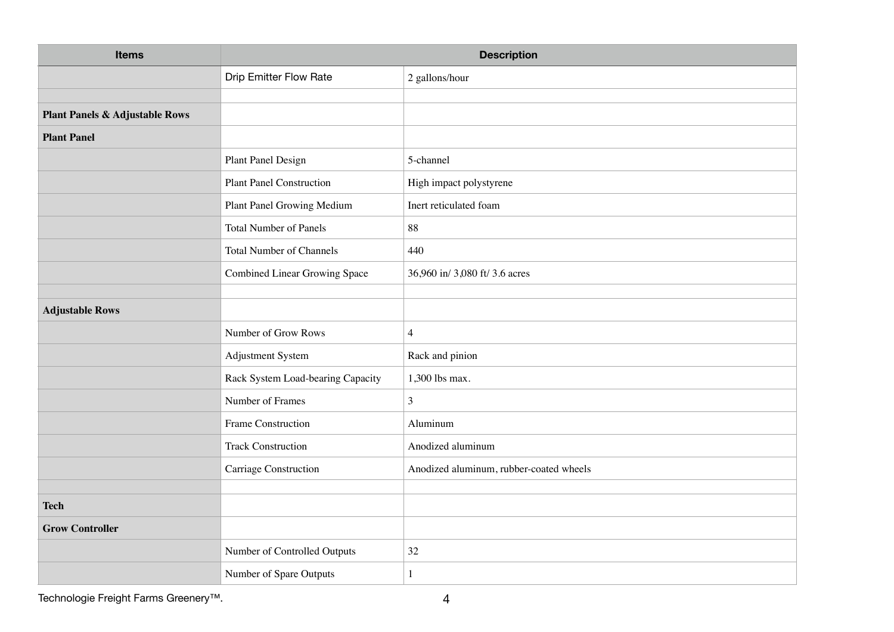| <b>Items</b>                              | <b>Description</b>                |                                         |
|-------------------------------------------|-----------------------------------|-----------------------------------------|
|                                           | <b>Drip Emitter Flow Rate</b>     | 2 gallons/hour                          |
|                                           |                                   |                                         |
| <b>Plant Panels &amp; Adjustable Rows</b> |                                   |                                         |
| <b>Plant Panel</b>                        |                                   |                                         |
|                                           | Plant Panel Design                | 5-channel                               |
|                                           | <b>Plant Panel Construction</b>   | High impact polystyrene                 |
|                                           | Plant Panel Growing Medium        | Inert reticulated foam                  |
|                                           | <b>Total Number of Panels</b>     | 88                                      |
|                                           | <b>Total Number of Channels</b>   | 440                                     |
|                                           | Combined Linear Growing Space     | 36,960 in/ 3,080 ft/ 3.6 acres          |
| <b>Adjustable Rows</b>                    |                                   |                                         |
|                                           |                                   |                                         |
|                                           | Number of Grow Rows               | $\overline{4}$                          |
|                                           | Adjustment System                 | Rack and pinion                         |
|                                           | Rack System Load-bearing Capacity | 1,300 lbs max.                          |
|                                           | Number of Frames                  | $\mathfrak{Z}$                          |
|                                           | Frame Construction                | Aluminum                                |
|                                           | <b>Track Construction</b>         | Anodized aluminum                       |
|                                           | Carriage Construction             | Anodized aluminum, rubber-coated wheels |
|                                           |                                   |                                         |
| <b>Tech</b>                               |                                   |                                         |
| <b>Grow Controller</b>                    |                                   |                                         |
|                                           | Number of Controlled Outputs      | 32                                      |
|                                           | Number of Spare Outputs           | $\mathbf{1}$                            |